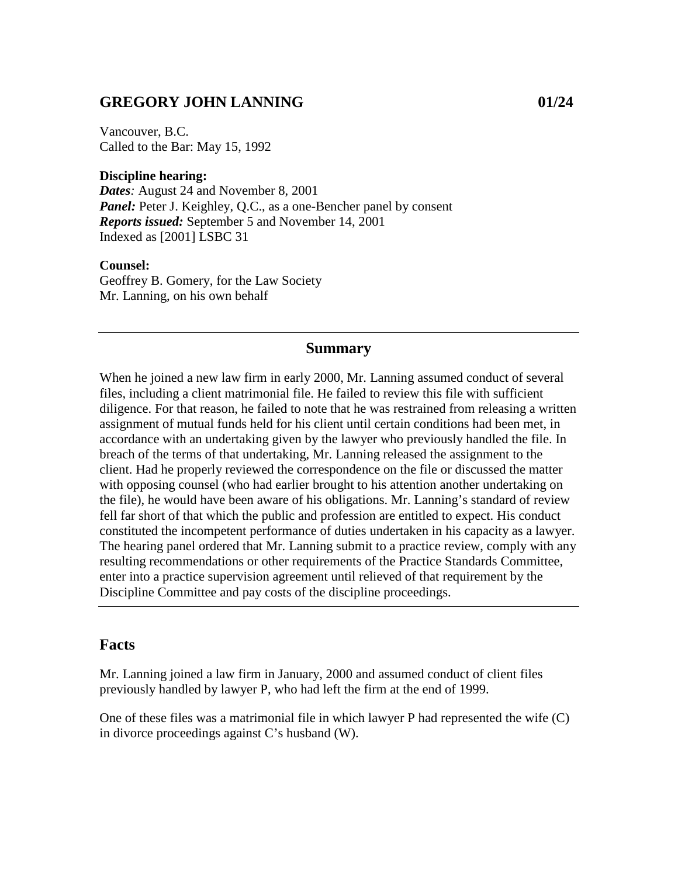## **GREGORY JOHN LANNING 01/24**

Vancouver, B.C. Called to the Bar: May 15, 1992

#### **Discipline hearing:**

*Dates:* August 24 and November 8, 2001 *Panel:* Peter J. Keighley, Q.C., as a one-Bencher panel by consent *Reports issued:* September 5 and November 14, 2001 Indexed as [2001] LSBC 31

#### **Counsel:**

Geoffrey B. Gomery, for the Law Society Mr. Lanning, on his own behalf

### **Summary**

When he joined a new law firm in early 2000, Mr. Lanning assumed conduct of several files, including a client matrimonial file. He failed to review this file with sufficient diligence. For that reason, he failed to note that he was restrained from releasing a written assignment of mutual funds held for his client until certain conditions had been met, in accordance with an undertaking given by the lawyer who previously handled the file. In breach of the terms of that undertaking, Mr. Lanning released the assignment to the client. Had he properly reviewed the correspondence on the file or discussed the matter with opposing counsel (who had earlier brought to his attention another undertaking on the file), he would have been aware of his obligations. Mr. Lanning's standard of review fell far short of that which the public and profession are entitled to expect. His conduct constituted the incompetent performance of duties undertaken in his capacity as a lawyer. The hearing panel ordered that Mr. Lanning submit to a practice review, comply with any resulting recommendations or other requirements of the Practice Standards Committee, enter into a practice supervision agreement until relieved of that requirement by the Discipline Committee and pay costs of the discipline proceedings.

### **Facts**

Mr. Lanning joined a law firm in January, 2000 and assumed conduct of client files previously handled by lawyer P, who had left the firm at the end of 1999.

One of these files was a matrimonial file in which lawyer P had represented the wife (C) in divorce proceedings against C's husband (W).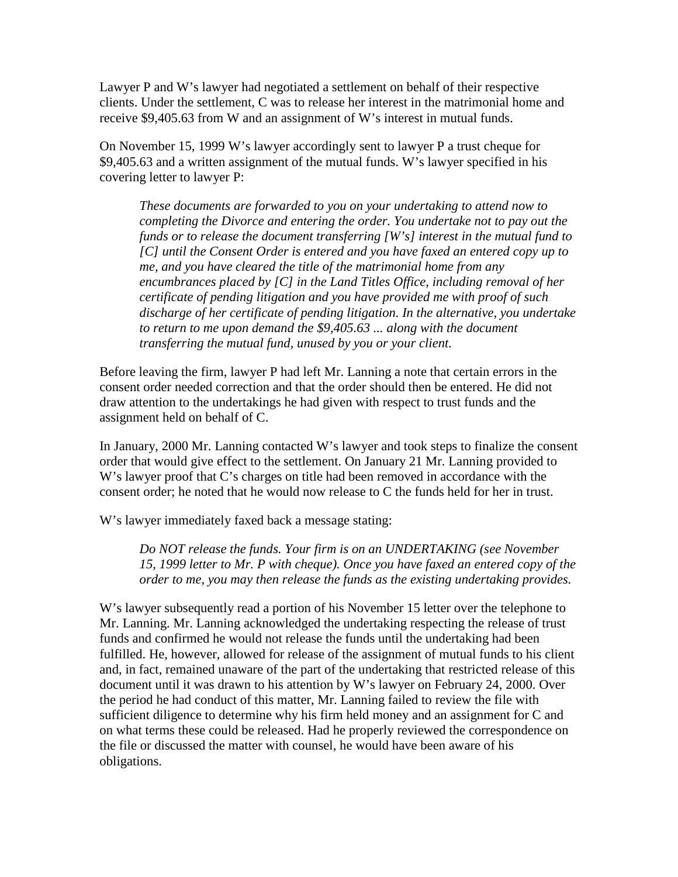Lawyer P and W's lawyer had negotiated a settlement on behalf of their respective clients. Under the settlement, C was to release her interest in the matrimonial home and receive \$9,405.63 from W and an assignment of W's interest in mutual funds.

On November 15, 1999 W's lawyer accordingly sent to lawyer P a trust cheque for \$9,405.63 and a written assignment of the mutual funds. W's lawyer specified in his covering letter to lawyer P:

*These documents are forwarded to you on your undertaking to attend now to completing the Divorce and entering the order. You undertake not to pay out the funds or to release the document transferring [W's] interest in the mutual fund to [C] until the Consent Order is entered and you have faxed an entered copy up to me, and you have cleared the title of the matrimonial home from any encumbrances placed by [C] in the Land Titles Office, including removal of her certificate of pending litigation and you have provided me with proof of such discharge of her certificate of pending litigation. In the alternative, you undertake to return to me upon demand the \$9,405.63 ... along with the document transferring the mutual fund, unused by you or your client.* 

Before leaving the firm, lawyer P had left Mr. Lanning a note that certain errors in the consent order needed correction and that the order should then be entered. He did not draw attention to the undertakings he had given with respect to trust funds and the assignment held on behalf of C.

In January, 2000 Mr. Lanning contacted W's lawyer and took steps to finalize the consent order that would give effect to the settlement. On January 21 Mr. Lanning provided to W's lawyer proof that C's charges on title had been removed in accordance with the consent order; he noted that he would now release to C the funds held for her in trust.

W's lawyer immediately faxed back a message stating:

*Do NOT release the funds. Your firm is on an UNDERTAKING (see November 15, 1999 letter to Mr. P with cheque). Once you have faxed an entered copy of the order to me, you may then release the funds as the existing undertaking provides.*

W's lawyer subsequently read a portion of his November 15 letter over the telephone to Mr. Lanning. Mr. Lanning acknowledged the undertaking respecting the release of trust funds and confirmed he would not release the funds until the undertaking had been fulfilled. He, however, allowed for release of the assignment of mutual funds to his client and, in fact, remained unaware of the part of the undertaking that restricted release of this document until it was drawn to his attention by W's lawyer on February 24, 2000. Over the period he had conduct of this matter, Mr. Lanning failed to review the file with sufficient diligence to determine why his firm held money and an assignment for C and on what terms these could be released. Had he properly reviewed the correspondence on the file or discussed the matter with counsel, he would have been aware of his obligations.